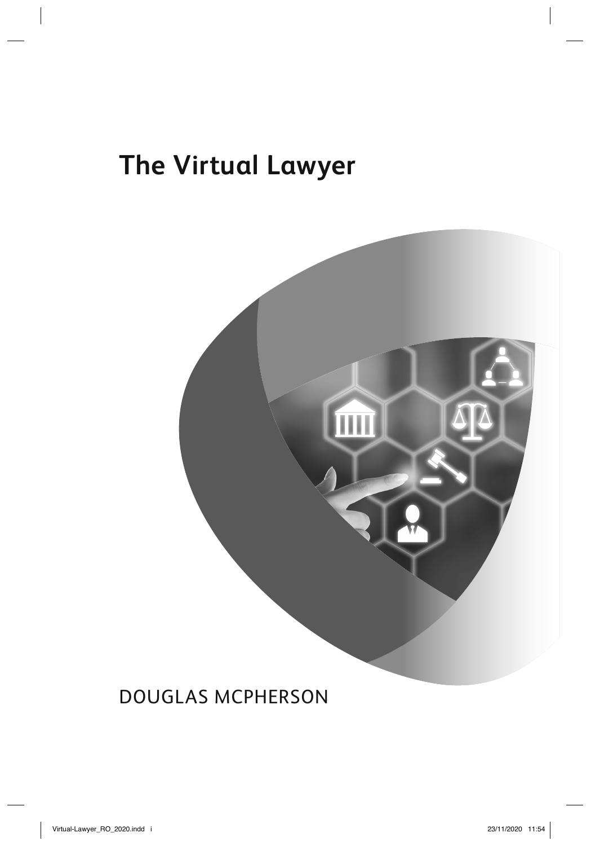# **The Virtual Lawyer**



## DOUGLAS MCPHERSON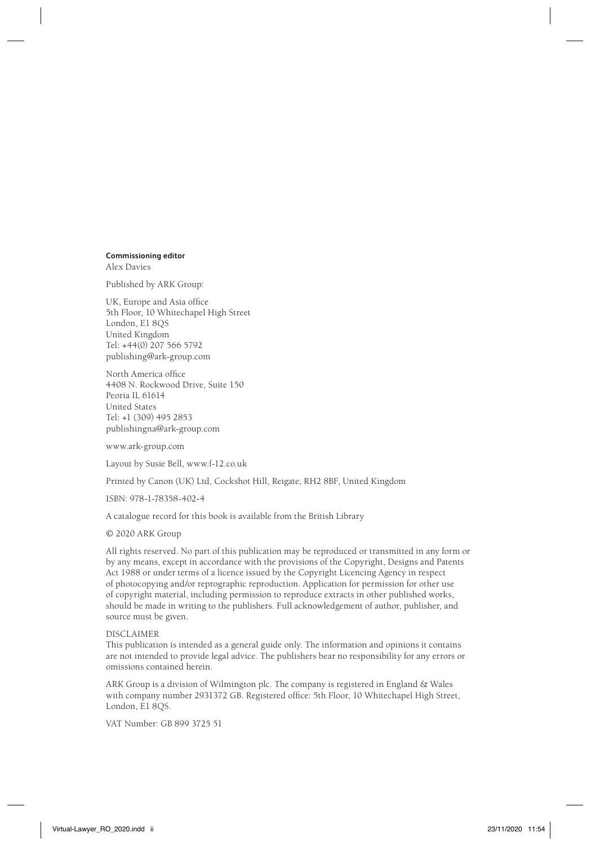#### **Commissioning editor**

Alex Davies

Published by ARK Group:

UK, Europe and Asia office 5th Floor, 10 Whitechapel High Street London, E1 8QS United Kingdom Tel: +44(0) 207 566 5792 publishing@ark-group.com

North America office 4408 N. Rockwood Drive, Suite 150 Peoria IL 61614 United States Tel: +1 (309) 495 2853 publishingna@ark-group.com

www.ark-group.com

Layout by Susie Bell, www.f-12.co.uk

Printed by Canon (UK) Ltd, Cockshot Hill, Reigate, RH2 8BF, United Kingdom

ISBN: 978-1-78358-402-4

A catalogue record for this book is available from the British Library

© 2020 ARK Group

All rights reserved. No part of this publication may be reproduced or transmitted in any form or by any means, except in accordance with the provisions of the Copyright, Designs and Patents Act 1988 or under terms of a licence issued by the Copyright Licencing Agency in respect of photocopying and/or reprographic reproduction. Application for permission for other use of copyright material, including permission to reproduce extracts in other published works, should be made in writing to the publishers. Full acknowledgement of author, publisher, and source must be given.

#### DISCLAIMER

This publication is intended as a general guide only. The information and opinions it contains are not intended to provide legal advice. The publishers bear no responsibility for any errors or omissions contained herein.

ARK Group is a division of Wilmington plc. The company is registered in England & Wales with company number 2931372 GB. Registered office: 5th Floor, 10 Whitechapel High Street, London, E1 8QS.

VAT Number: GB 899 3725 51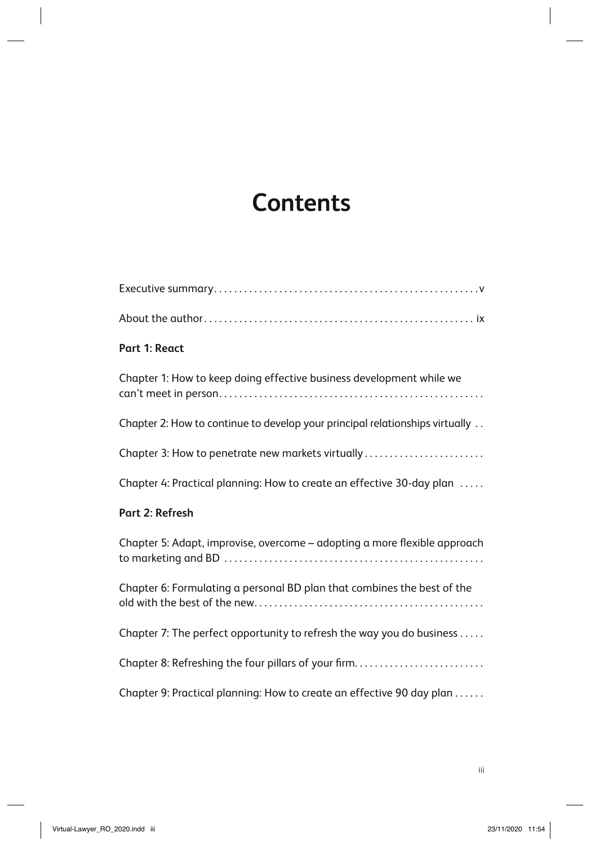## **Contents**

| <b>Part 1: React</b>                                                         |
|------------------------------------------------------------------------------|
| Chapter 1: How to keep doing effective business development while we         |
| Chapter 2: How to continue to develop your principal relationships virtually |
| Chapter 3: How to penetrate new markets virtually                            |
| Chapter 4: Practical planning: How to create an effective 30-day plan        |
| Part 2: Refresh                                                              |
| Chapter 5: Adapt, improvise, overcome - adopting a more flexible approach    |
| Chapter 6: Formulating a personal BD plan that combines the best of the      |
| Chapter 7: The perfect opportunity to refresh the way you do business        |
| Chapter 8: Refreshing the four pillars of your firm                          |
| Chapter 9: Practical planning: How to create an effective 90 day plan        |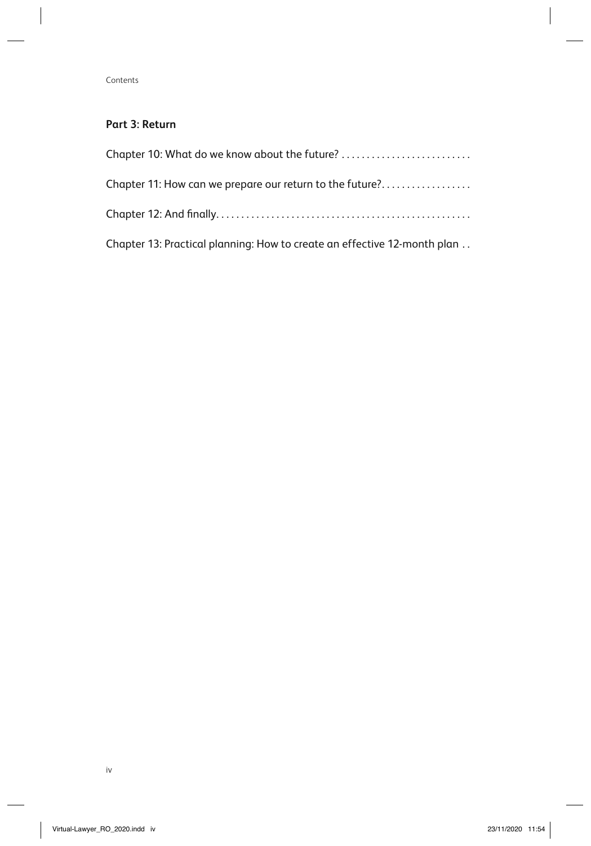#### Contents

### **Part 3: Return**

| Chapter 10: What do we know about the future?                            |
|--------------------------------------------------------------------------|
| Chapter 11: How can we prepare our return to the future?                 |
|                                                                          |
| Chapter 13: Practical planning: How to create an effective 12-month plan |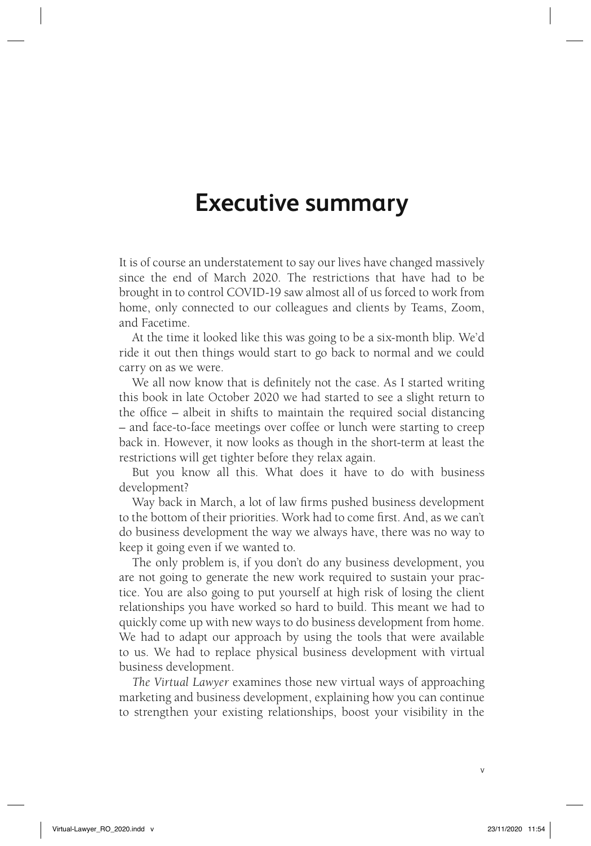### **Executive summary**

It is of course an understatement to say our lives have changed massively since the end of March 2020. The restrictions that have had to be brought in to control COVID-19 saw almost all of us forced to work from home, only connected to our colleagues and clients by Teams, Zoom, and Facetime.

At the time it looked like this was going to be a six-month blip. We'd ride it out then things would start to go back to normal and we could carry on as we were.

We all now know that is definitely not the case. As I started writing this book in late October 2020 we had started to see a slight return to the office  $-$  albeit in shifts to maintain the required social distancing – and face-to-face meetings over coffee or lunch were starting to creep back in. However, it now looks as though in the short-term at least the restrictions will get tighter before they relax again.

But you know all this. What does it have to do with business development?

Way back in March, a lot of law firms pushed business development to the bottom of their priorities. Work had to come first. And, as we can't do business development the way we always have, there was no way to keep it going even if we wanted to.

The only problem is, if you don't do any business development, you are not going to generate the new work required to sustain your practice. You are also going to put yourself at high risk of losing the client relationships you have worked so hard to build. This meant we had to quickly come up with new ways to do business development from home. We had to adapt our approach by using the tools that were available to us. We had to replace physical business development with virtual business development.

*The Virtual Lawyer* examines those new virtual ways of approaching marketing and business development, explaining how you can continue to strengthen your existing relationships, boost your visibility in the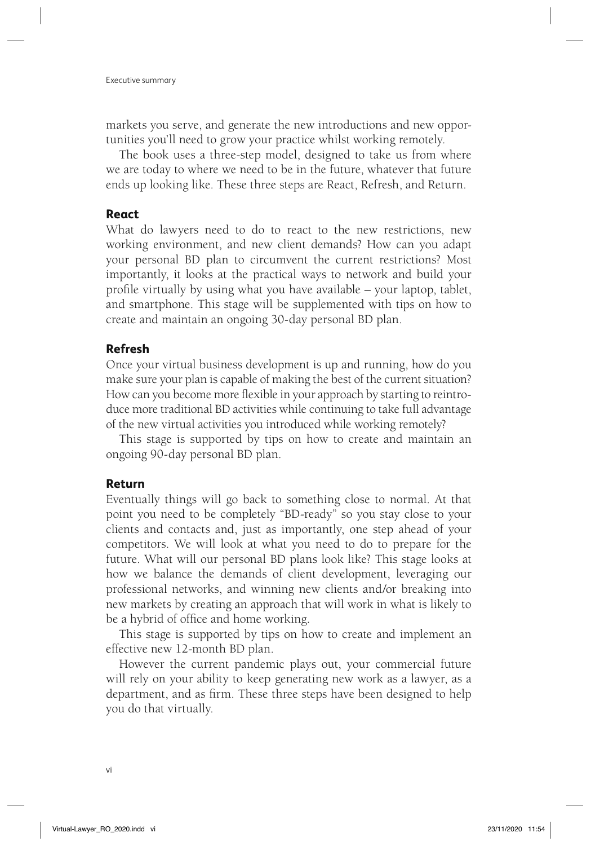markets you serve, and generate the new introductions and new opportunities you'll need to grow your practice whilst working remotely.

The book uses a three-step model, designed to take us from where we are today to where we need to be in the future, whatever that future ends up looking like. These three steps are React, Refresh, and Return.

### **React**

What do lawyers need to do to react to the new restrictions, new working environment, and new client demands? How can you adapt your personal BD plan to circumvent the current restrictions? Most importantly, it looks at the practical ways to network and build your profile virtually by using what you have available – your laptop, tablet, and smartphone. This stage will be supplemented with tips on how to create and maintain an ongoing 30-day personal BD plan.

### **Refresh**

Once your virtual business development is up and running, how do you make sure your plan is capable of making the best of the current situation? How can you become more flexible in your approach by starting to reintroduce more traditional BD activities while continuing to take full advantage of the new virtual activities you introduced while working remotely?

This stage is supported by tips on how to create and maintain an ongoing 90-day personal BD plan.

#### **Return**

Eventually things will go back to something close to normal. At that point you need to be completely "BD-ready" so you stay close to your clients and contacts and, just as importantly, one step ahead of your competitors. We will look at what you need to do to prepare for the future. What will our personal BD plans look like? This stage looks at how we balance the demands of client development, leveraging our professional networks, and winning new clients and/or breaking into new markets by creating an approach that will work in what is likely to be a hybrid of office and home working.

This stage is supported by tips on how to create and implement an effective new 12-month BD plan.

However the current pandemic plays out, your commercial future will rely on your ability to keep generating new work as a lawyer, as a department, and as firm. These three steps have been designed to help you do that virtually.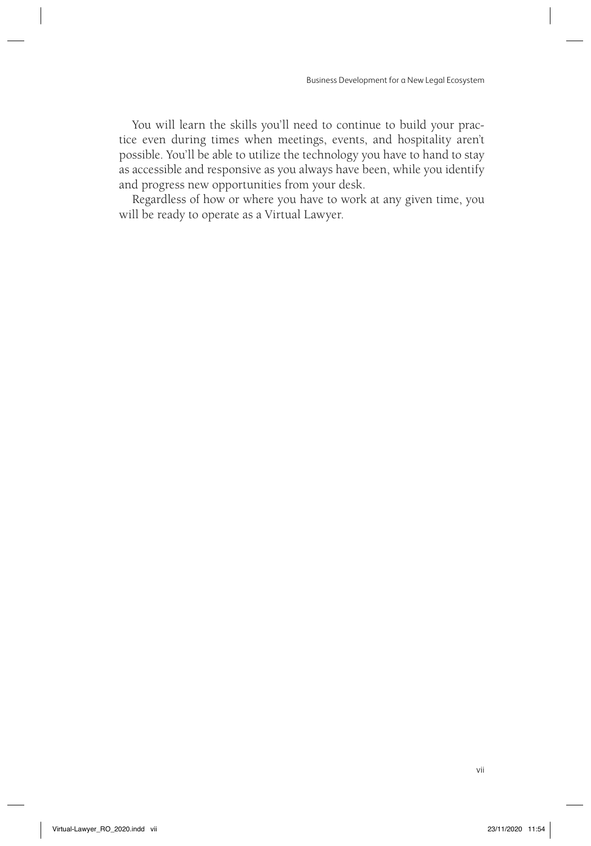You will learn the skills you'll need to continue to build your practice even during times when meetings, events, and hospitality aren't possible. You'll be able to utilize the technology you have to hand to stay as accessible and responsive as you always have been, while you identify and progress new opportunities from your desk.

Regardless of how or where you have to work at any given time, you will be ready to operate as a Virtual Lawyer.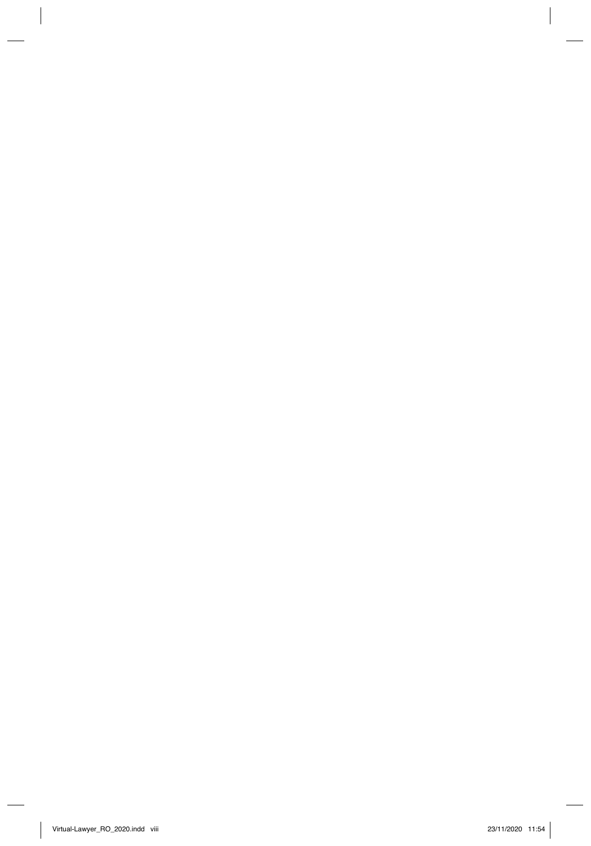$\overline{\phantom{a}}$